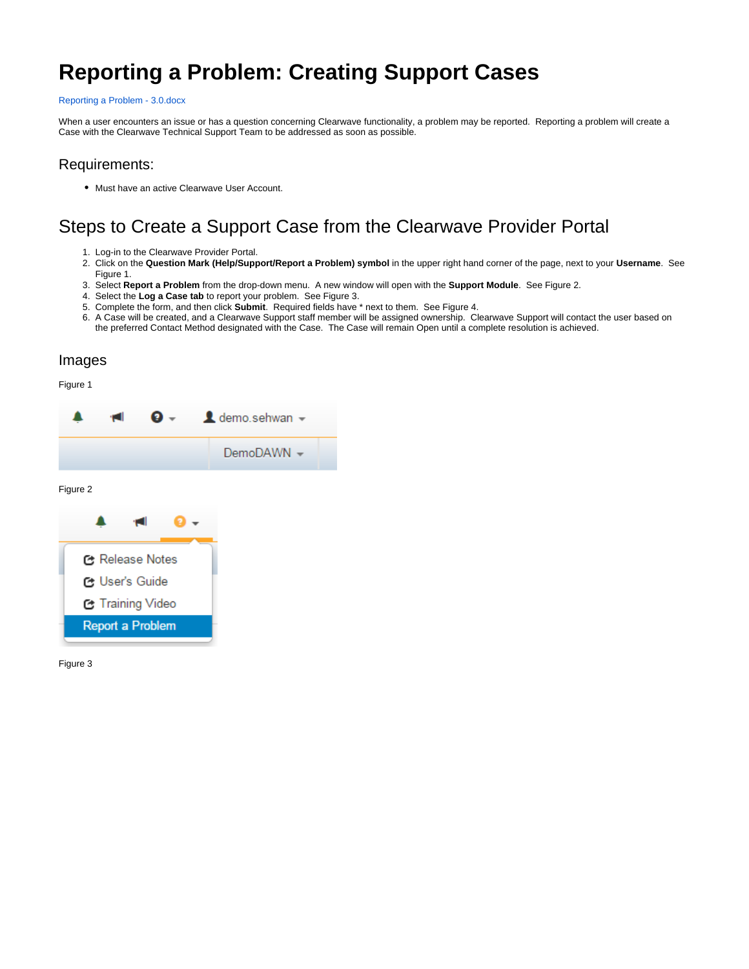# **Reporting a Problem: Creating Support Cases**

#### [Reporting a Problem - 3.0.docx](https://confluence.clearwaveinc.com/download/attachments/14418228/Reporting%20a%20Problem%20-%203.0.docx?version=1&modificationDate=1440443089313&api=v2)

When a user encounters an issue or has a question concerning Clearwave functionality, a problem may be reported. Reporting a problem will create a Case with the Clearwave Technical Support Team to be addressed as soon as possible.

### Requirements:

Must have an active Clearwave User Account.

## Steps to Create a Support Case from the Clearwave Provider Portal

- 1. Log-in to the Clearwave Provider Portal.
- 2. Click on the **Question Mark (Help/Support/Report a Problem) symbol** in the upper right hand corner of the page, next to your **Username**. See Figure 1.
- 3. Select **Report a Problem** from the drop-down menu. A new window will open with the **Support Module**. See Figure 2.
- 4. Select the **Log a Case tab** to report your problem. See Figure 3.
- 5. Complete the form, and then click **Submit**. Required fields have \* next to them. See Figure 4.
- 6. A Case will be created, and a Clearwave Support staff member will be assigned ownership. Clearwave Support will contact the user based on the preferred Contact Method designated with the Case. The Case will remain Open until a complete resolution is achieved.

### Images

Figure 1



Figure 3